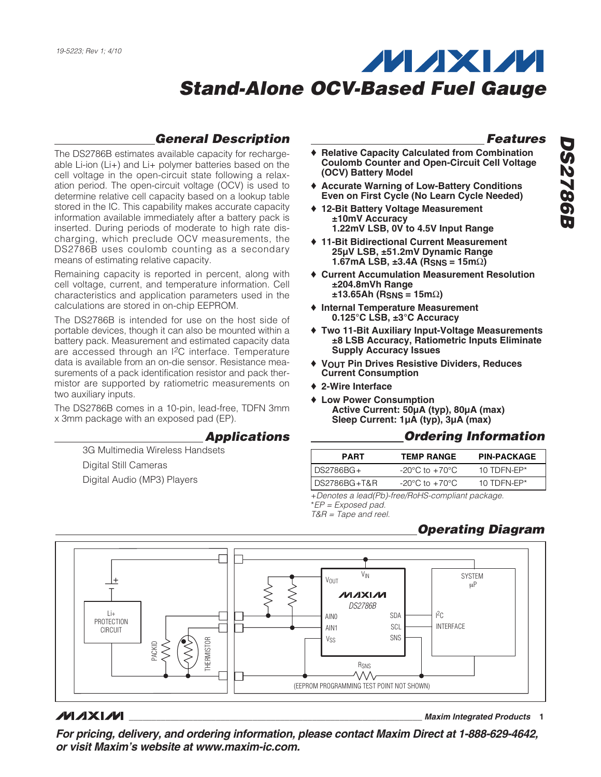#### **General Description**

The DS2786B estimates available capacity for rechargeable Li-ion (Li+) and Li+ polymer batteries based on the cell voltage in the open-circuit state following a relaxation period. The open-circuit voltage (OCV) is used to determine relative cell capacity based on a lookup table stored in the IC. This capability makes accurate capacity information available immediately after a battery pack is inserted. During periods of moderate to high rate discharging, which preclude OCV measurements, the DS2786B uses coulomb counting as a secondary means of estimating relative capacity.

Remaining capacity is reported in percent, along with cell voltage, current, and temperature information. Cell characteristics and application parameters used in the calculations are stored in on-chip EEPROM.

The DS2786B is intended for use on the host side of portable devices, though it can also be mounted within a battery pack. Measurement and estimated capacity data are accessed through an I2C interface. Temperature data is available from an on-die sensor. Resistance measurements of a pack identification resistor and pack thermistor are supported by ratiometric measurements on two auxiliary inputs.

The DS2786B comes in a 10-pin, lead-free, TDFN 3mm x 3mm package with an exposed pad (EP).

#### **Applications**

3G Multimedia Wireless Handsets Digital Still Cameras

Digital Audio (MP3) Players

#### **Features**

- **Relative Capacity Calculated from Combination Coulomb Counter and Open-Circuit Cell Voltage (OCV) Battery Model**
- ♦ **Accurate Warning of Low-Battery Conditions Even on First Cycle (No Learn Cycle Needed)**
- ♦ **12-Bit Battery Voltage Measurement ±10mV Accuracy 1.22mV LSB, 0V to 4.5V Input Range**
- ♦ **11-Bit Bidirectional Current Measurement 25µV LSB, ±51.2mV Dynamic Range 1.67mA LSB, ±3.4A (RSNS = 15m**Ω**)**
- ♦ **Current Accumulation Measurement Resolution ±204.8mVh Range ±13.65Ah (RSNS = 15m**Ω**)**
- ♦ **Internal Temperature Measurement 0.125°C LSB, ±3°C Accuracy**
- ♦ **Two 11-Bit Auxiliary Input-Voltage Measurements ±8 LSB Accuracy, Ratiometric Inputs Eliminate Supply Accuracy Issues**
- ♦ **VOUT Pin Drives Resistive Dividers, Reduces Current Consumption**
- ♦ **2-Wire Interface**
- ♦ **Low Power Consumption Active Current: 50µA (typ), 80µA (max) Sleep Current: 1µA (typ), 3µA (max)**

#### **Ordering Information**

| <b>PART</b>   | <b>TEMP RANGE</b>                  | <b>PIN-PACKAGE</b> |
|---------------|------------------------------------|--------------------|
| l DS2786BG+   | $-20^{\circ}$ C to $+70^{\circ}$ C | 10 TDFN-FP $*$     |
| IDS2786BG+T&R | $-20^{\circ}$ C to $+70^{\circ}$ C | 10 TDFN-FP $*$     |

+Denotes a lead(Pb)-free/RoHS-compliant package. \*EP = Exposed pad.

T&R = Tape and reel.

#### **Operating Diagram**



#### **MAXIM**

**\_\_\_\_\_\_\_\_\_\_\_\_\_\_\_\_\_\_\_\_\_\_\_\_\_\_\_\_\_\_\_\_\_\_\_\_\_\_\_\_\_\_\_\_\_\_\_\_\_\_\_\_\_\_\_\_\_\_\_\_\_\_\_\_ Maxim Integrated Products 1**

**For pricing, delivery, and ordering information, please contact Maxim Direct at 1-888-629-4642, or visit Maxim's website at www.maxim-ic.com.**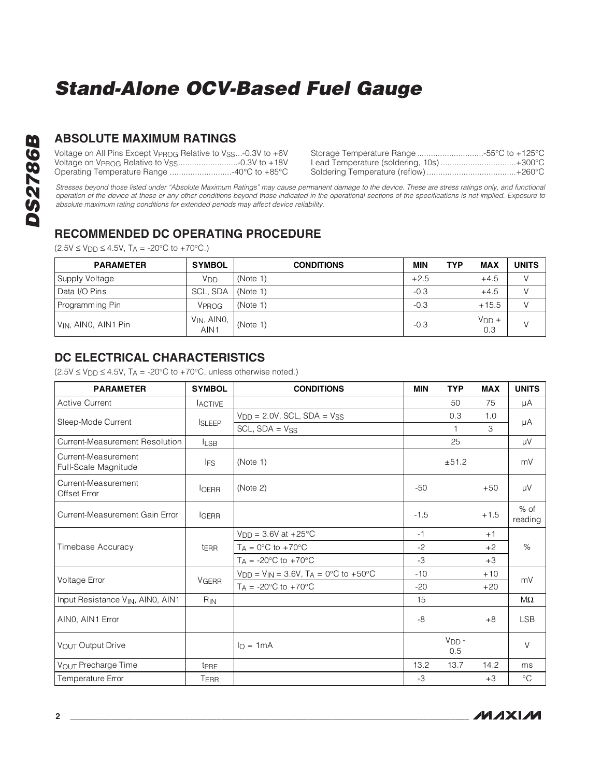### **ABSOLUTE MAXIMUM RATINGS**

| Voltage on All Pins Except VPROG Relative to VSS-0.3V to +6V |                                             |
|--------------------------------------------------------------|---------------------------------------------|
|                                                              | Lead Temperature (soldering, 10s)<br>+300°C |
| …-40°C to +85°C<br>Operating Temperature Range               | Soldering Temperature (reflow)<br>.+260°C   |

Stresses beyond those listed under "Absolute Maximum Ratings" may cause permanent damage to the device. These are stress ratings only, and functional operation of the device at these or any other conditions beyond those indicated in the operational sections of the specifications is not implied. Exposure to absolute maximum rating conditions for extended periods may affect device reliability.

#### **RECOMMENDED DC OPERATING PROCEDURE**

 $(2.5V \le V_{DD} \le 4.5V, T_A = -20°C$  to +70°C.)

| <b>PARAMETER</b>                 | <b>SYMBOL</b>            | <b>CONDITIONS</b> | <b>MIN</b> | <b>MAX</b><br><b>TYP</b> | <b>UNITS</b> |
|----------------------------------|--------------------------|-------------------|------------|--------------------------|--------------|
| Supply Voltage                   | V <sub>DD</sub>          | (Note 1)          | $+2.5$     | $+4.5$                   |              |
| Data I/O Pins                    | SCL, SDA                 | (Note 1)          | $-0.3$     | $+4.5$                   |              |
| Programming Pin                  | VPROG                    | (Note 1)          | $-0.3$     | $+15.5$                  |              |
| V <sub>IN</sub> , AIN0, AIN1 Pin | $V_{IN}$ , AINO,<br>AIN1 | (Note 1)          | $-0.3$     | $VDD +$<br>0.3           |              |

#### **DC ELECTRICAL CHARACTERISTICS**

 $(2.5V \le V_{DD} \le 4.5V, T_A = -20°C$  to +70°C, unless otherwise noted.)

| <b>PARAMETER</b>                            | <b>SYMBOL</b>                                    | <b>CONDITIONS</b>               | <b>MIN</b> | <b>TYP</b>     | <b>MAX</b> | <b>UNITS</b>      |
|---------------------------------------------|--------------------------------------------------|---------------------------------|------------|----------------|------------|-------------------|
| <b>Active Current</b>                       | <b>ACTIVE</b>                                    |                                 |            | 50             | 75         | μA                |
| Sleep-Mode Current                          |                                                  | $VDD = 2.0V$ , SCL, SDA = $VSS$ |            | 0.3            | 1.0        |                   |
|                                             | <b>ISLEEP</b>                                    | $SCL$ , $SDA = V_{SS}$          |            |                | 3          | μA                |
| Current-Measurement Resolution              | <b>ILSB</b>                                      |                                 |            | 25             |            | μV                |
| Current-Measurement<br>Full-Scale Magnitude | <b>IFS</b>                                       | (Note 1)                        |            | ±51.2          |            | mV                |
| Current-Measurement<br><b>Offset Error</b>  | <b>I</b> OERR                                    | (Note 2)                        | $-50$      |                | $+50$      | μV                |
| Current-Measurement Gain Error              | <b>IGERR</b>                                     |                                 | $-1.5$     |                | $+1.5$     | $%$ of<br>reading |
|                                             |                                                  | $V_{DD} = 3.6V$ at +25°C        | $-1$       |                | $+1$       |                   |
| Timebase Accuracy                           | t <sub>ERR</sub>                                 | $T_A = 0$ °C to +70°C           | $-2$       |                | $+2$       | $\%$              |
|                                             |                                                  | $T_A = -20$ °C to $+70$ °C      | $-3$       |                | $+3$       |                   |
| Voltage Error                               | $V_{DD} = V_{IN} = 3.6V$ , $T_A = 0$ °C to +50°C |                                 | $-10$      |                | $+10$      | mV                |
|                                             | <b>VGERR</b>                                     | $T_A = -20$ °C to $+70$ °C      | $-20$      |                | $+20$      |                   |
| Input Resistance VIN, AINO, AIN1            | R <sub>IN</sub>                                  |                                 | 15         |                |            | $M\Omega$         |
| AINO, AIN1 Error                            |                                                  |                                 | -8         |                | $+8$       | <b>LSB</b>        |
| VOUT Output Drive                           |                                                  | $I_O = 1mA$                     |            | $VDD$ -<br>0.5 |            | $\vee$            |
| VOUT Precharge Time                         | t <sub>PRE</sub>                                 |                                 | 13.2       | 13.7           | 14.2       | ms                |
| Temperature Error                           | TERR                                             |                                 | $-3$       |                | $+3$       | $^{\circ}C$       |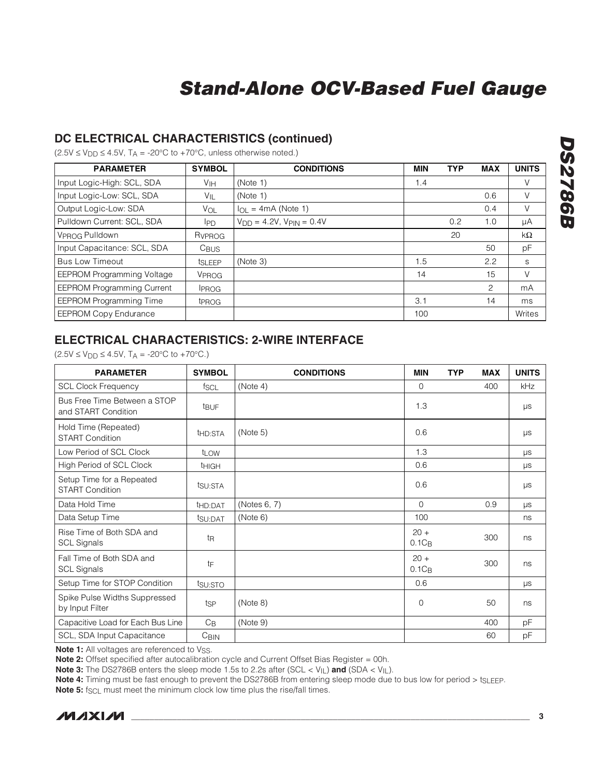#### **DC ELECTRICAL CHARACTERISTICS (continued)**

 $(2.5V \le V_{DD} \le 4.5V, T_A = -20^{\circ}C$  to +70°C, unless otherwise noted.)

| <b>PARAMETER</b>                  | <b>SYMBOL</b>      | <b>CONDITIONS</b>                  | <b>MIN</b> | <b>TYP</b> | <b>MAX</b>     | <b>UNITS</b> |
|-----------------------------------|--------------------|------------------------------------|------------|------------|----------------|--------------|
| Input Logic-High: SCL, SDA        | V <sub>IH</sub>    | (Note 1)                           | 1.4        |            |                | V            |
| Input Logic-Low: SCL, SDA         | VIL                | (Note 1)                           |            |            | 0.6            | V            |
| Output Logic-Low: SDA             | VOL                | $I_{OL}$ = 4mA (Note 1)            |            |            | 0.4            | V            |
| Pulldown Current: SCL, SDA        | IPD.               | $V_{DD} = 4.2V$ , $V_{PIN} = 0.4V$ |            | 0.2        | 1.0            | μA           |
| VPROG Pulldown                    | R <sub>VPROG</sub> |                                    |            | 20         |                | kΩ           |
| Input Capacitance: SCL, SDA       | C <sub>BUS</sub>   |                                    |            |            | 50             | рF           |
| <b>Bus Low Timeout</b>            | t <sub>SLEEP</sub> | (Note 3)                           | 1.5        |            | 2.2            | S            |
| <b>EEPROM Programming Voltage</b> | VPROG              |                                    | 14         |            | 15             | V            |
| <b>EEPROM Programming Current</b> | <b>IPROG</b>       |                                    |            |            | $\overline{c}$ | mA           |
| <b>EEPROM Programming Time</b>    | t <sub>PROG</sub>  |                                    | 3.1        |            | 14             | ms           |
| <b>EEPROM Copy Endurance</b>      |                    |                                    | 100        |            |                | Writes       |

#### **ELECTRICAL CHARACTERISTICS: 2-WIRE INTERFACE**

 $(2.5V \le V_{DD} \le 4.5V, T_A = -20°C$  to +70°C.)

| <b>PARAMETER</b>                                    | <b>SYMBOL</b>       | <b>CONDITIONS</b> | <b>MIN</b>         | <b>TYP</b> | <b>MAX</b> | <b>UNITS</b> |
|-----------------------------------------------------|---------------------|-------------------|--------------------|------------|------------|--------------|
| <b>SCL Clock Frequency</b>                          | f <sub>SCL</sub>    | (Note 4)          | $\Omega$           |            | 400        | kHz          |
| Bus Free Time Between a STOP<br>and START Condition | t <sub>BUF</sub>    |                   | 1.3                |            |            | $\mu s$      |
| Hold Time (Repeated)<br><b>START Condition</b>      | t <sub>HD:STA</sub> | (Note 5)          | 0.6                |            |            | $\mu s$      |
| Low Period of SCL Clock                             | t <sub>LOW</sub>    |                   | 1.3                |            |            | μs           |
| High Period of SCL Clock                            | <b>THIGH</b>        |                   | 0.6                |            |            | $\mu s$      |
| Setup Time for a Repeated<br><b>START Condition</b> | tsu:STA             |                   | 0.6                |            |            | $\mu s$      |
| Data Hold Time                                      | t <sub>HD:DAT</sub> | (Notes 6, 7)      | $\Omega$           |            | 0.9        | μs           |
| Data Setup Time                                     | tsu:DAT             | (Note 6)          | 100                |            |            | ns           |
| Rise Time of Both SDA and<br><b>SCL Signals</b>     | t <sub>R</sub>      |                   | $20 +$<br>$0.1C_B$ |            | 300        | ns           |
| Fall Time of Both SDA and<br><b>SCL Signals</b>     | tF                  |                   | $20 +$<br>$0.1C_B$ |            | 300        | ns           |
| Setup Time for STOP Condition                       | tsu:STO             |                   | 0.6                |            |            | $\mu s$      |
| Spike Pulse Widths Suppressed<br>by Input Filter    | tsp                 | (Note 8)          | $\mathbf 0$        |            | 50         | ns           |
| Capacitive Load for Each Bus Line                   | $C_{\mathsf{B}}$    | (Note 9)          |                    |            | 400        | рF           |
| SCL, SDA Input Capacitance                          | C <sub>BIN</sub>    |                   |                    |            | 60         | рF           |

**Note 1:** All voltages are referenced to Vss.

**Note 2:** Offset specified after autocalibration cycle and Current Offset Bias Register = 00h.

**Note 3:** The DS2786B enters the sleep mode 1.5s to 2.2s after (SCL < V<sub>IL</sub>) and (SDA < V<sub>IL</sub>).

Note 4: Timing must be fast enough to prevent the DS2786B from entering sleep mode due to bus low for period > tsLEEP.

**Note 5:** f<sub>SCL</sub> must meet the minimum clock low time plus the rise/fall times.

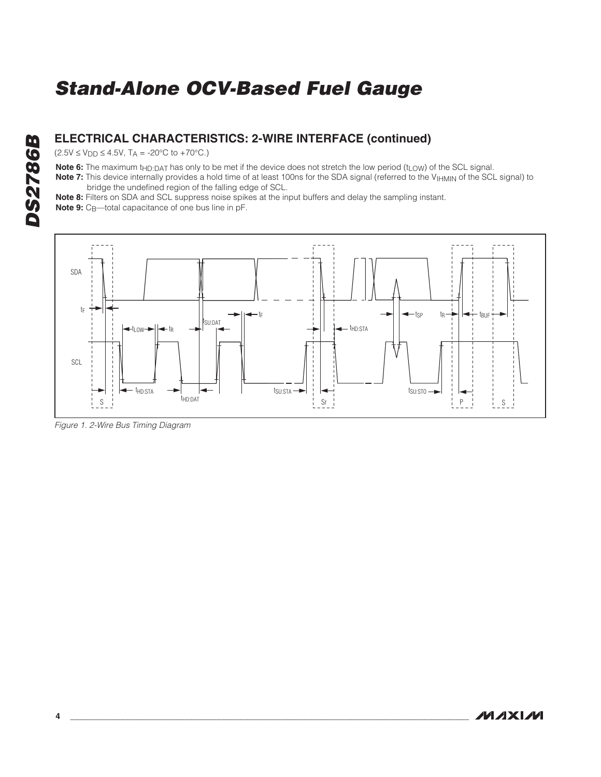#### **ELECTRICAL CHARACTERISTICS: 2-WIRE INTERFACE (continued)**

 $(2.5V \le V_{DD} \le 4.5V, T_A = -20°C$  to +70°C.)

Note 6: The maximum t<sub>HD:DAT</sub> has only to be met if the device does not stretch the low period (t<sub>LOW</sub>) of the SCL signal.

Note 7: This device internally provides a hold time of at least 100ns for the SDA signal (referred to the V<sub>IHMIN</sub> of the SCL signal) to bridge the undefined region of the falling edge of SCL.

**Note 8:** Filters on SDA and SCL suppress noise spikes at the input buffers and delay the sampling instant.

**Note 9:** C<sub>B</sub>—total capacitance of one bus line in pF.



Figure 1. 2-Wire Bus Timing Diagram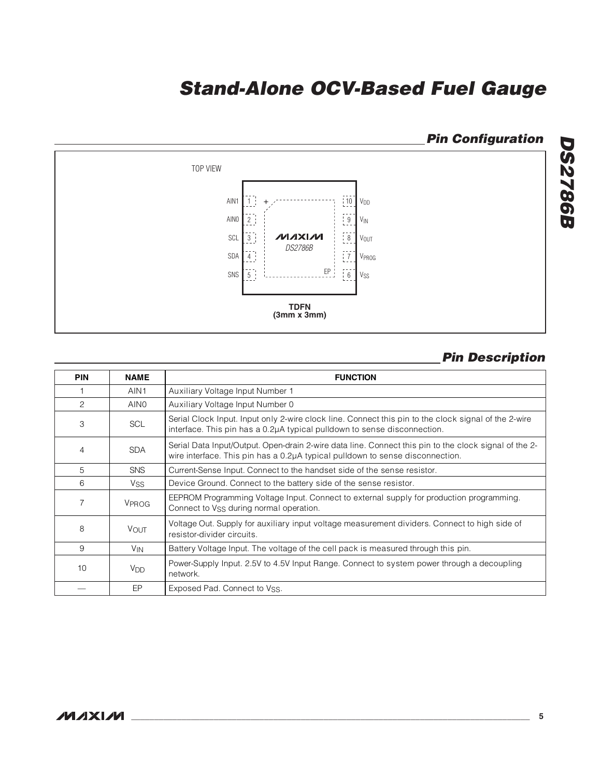

#### **Pin Description**

| <b>PIN</b> | <b>NAME</b>           | <b>FUNCTION</b>                                                                                                                                                                        |
|------------|-----------------------|----------------------------------------------------------------------------------------------------------------------------------------------------------------------------------------|
|            | AIN1                  | Auxiliary Voltage Input Number 1                                                                                                                                                       |
| 2          | AIN <sub>0</sub>      | Auxiliary Voltage Input Number 0                                                                                                                                                       |
| 3          | <b>SCL</b>            | Serial Clock Input. Input only 2-wire clock line. Connect this pin to the clock signal of the 2-wire<br>interface. This pin has a 0.2µA typical pulldown to sense disconnection.       |
| 4          | <b>SDA</b>            | Serial Data Input/Output. Open-drain 2-wire data line. Connect this pin to the clock signal of the 2-<br>wire interface. This pin has a 0.2µA typical pulldown to sense disconnection. |
| 5          | <b>SNS</b>            | Current-Sense Input. Connect to the handset side of the sense resistor.                                                                                                                |
| 6          | <b>V<sub>SS</sub></b> | Device Ground. Connect to the battery side of the sense resistor.                                                                                                                      |
| 7          | VPROG                 | EEPROM Programming Voltage Input. Connect to external supply for production programming.<br>Connect to Vss during normal operation.                                                    |
| 8          | VOUT                  | Voltage Out. Supply for auxiliary input voltage measurement dividers. Connect to high side of<br>resistor-divider circuits.                                                            |
| 9          | <b>V<sub>IN</sub></b> | Battery Voltage Input. The voltage of the cell pack is measured through this pin.                                                                                                      |
| 10         | <b>V<sub>DD</sub></b> | Power-Supply Input. 2.5V to 4.5V Input Range. Connect to system power through a decoupling<br>network.                                                                                 |
|            | EP                    | Exposed Pad. Connect to Vss.                                                                                                                                                           |

#### **MAXIM**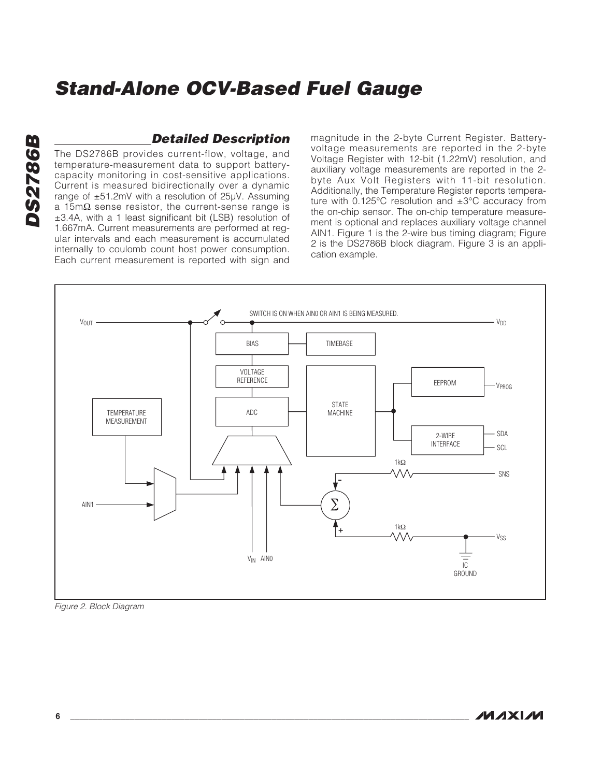#### **Detailed Description**

The DS2786B provides current-flow, voltage, and temperature-measurement data to support batterycapacity monitoring in cost-sensitive applications. Current is measured bidirectionally over a dynamic range of ±51.2mV with a resolution of 25µV. Assuming a 15m $\Omega$  sense resistor, the current-sense range is ±3.4A, with a 1 least significant bit (LSB) resolution of 1.667mA. Current measurements are performed at regular intervals and each measurement is accumulated internally to coulomb count host power consumption. Each current measurement is reported with sign and magnitude in the 2-byte Current Register. Batteryvoltage measurements are reported in the 2-byte Voltage Register with 12-bit (1.22mV) resolution, and auxiliary voltage measurements are reported in the 2 byte Aux Volt Registers with 11-bit resolution. Additionally, the Temperature Register reports temperature with 0.125°C resolution and ±3°C accuracy from the on-chip sensor. The on-chip temperature measurement is optional and replaces auxiliary voltage channel AIN1. Figure 1 is the 2-wire bus timing diagram; Figure 2 is the DS2786B block diagram. Figure 3 is an application example.



Figure 2. Block Diagram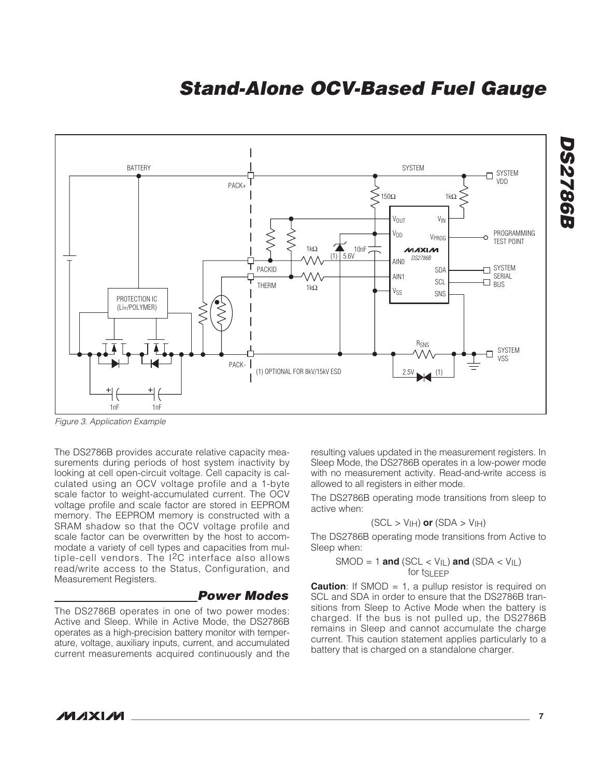

Figure 3. Application Example

The DS2786B provides accurate relative capacity measurements during periods of host system inactivity by looking at cell open-circuit voltage. Cell capacity is calculated using an OCV voltage profile and a 1-byte scale factor to weight-accumulated current. The OCV voltage profile and scale factor are stored in EEPROM memory. The EEPROM memory is constructed with a SRAM shadow so that the OCV voltage profile and scale factor can be overwritten by the host to accommodate a variety of cell types and capacities from multiple-cell vendors. The  $12C$  interface also allows read/write access to the Status, Configuration, and Measurement Registers.

#### **Power Modes**

The DS2786B operates in one of two power modes: Active and Sleep. While in Active Mode, the DS2786B operates as a high-precision battery monitor with temperature, voltage, auxiliary inputs, current, and accumulated current measurements acquired continuously and the

resulting values updated in the measurement registers. In Sleep Mode, the DS2786B operates in a low-power mode with no measurement activity. Read-and-write access is allowed to all registers in either mode.

The DS2786B operating mode transitions from sleep to active when:

$$
(\text{SCL} > \text{V}_{\text{IH}}) \text{ or } (\text{SDA} > \text{V}_{\text{IH}})
$$

The DS2786B operating mode transitions from Active to Sleep when:

$$
\text{SMOD} = 1 \text{ and } (\text{SCL} < V_{\text{IL}}) \text{ and } (\text{SDA} < V_{\text{IL}}) \text{ for } t_{\text{SLEEP}}
$$

**Caution**: If SMOD = 1, a pullup resistor is required on SCL and SDA in order to ensure that the DS2786B transitions from Sleep to Active Mode when the battery is charged. If the bus is not pulled up, the DS2786B remains in Sleep and cannot accumulate the charge current. This caution statement applies particularly to a battery that is charged on a standalone charger.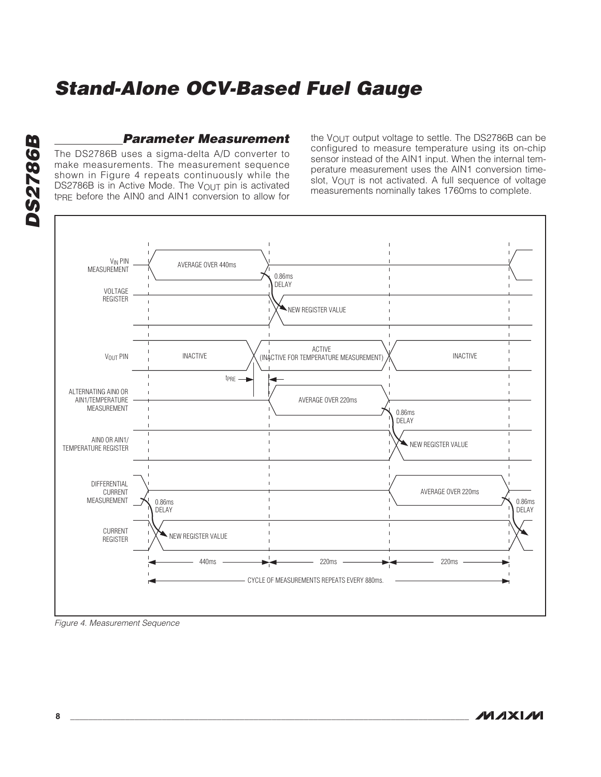# **DS2786B DS2786B**

#### **Parameter Measurement**

The DS2786B uses a sigma-delta A/D converter to make measurements. The measurement sequence shown in Figure 4 repeats continuously while the DS2786B is in Active Mode. The  $V_{\text{OUT}}$  pin is activated tPRE before the AIN0 and AIN1 conversion to allow for the VOUT output voltage to settle. The DS2786B can be configured to measure temperature using its on-chip sensor instead of the AIN1 input. When the internal temperature measurement uses the AIN1 conversion timeslot,  $V_{\text{OUT}}$  is not activated. A full sequence of voltage measurements nominally takes 1760ms to complete.



Figure 4. Measurement Sequence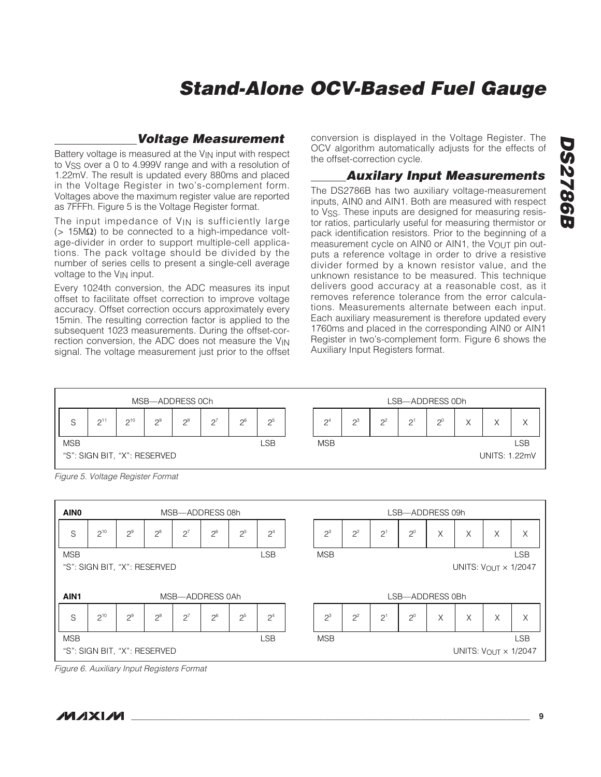# **DS2786B DS2786B**

## **Stand-Alone OCV-Based Fuel Gauge**

#### **Voltage Measurement**

Battery voltage is measured at the  $V_{\text{IN}}$  input with respect to V<sub>SS</sub> over a 0 to 4.999V range and with a resolution of 1.22mV. The result is updated every 880ms and placed in the Voltage Register in two's-complement form. Voltages above the maximum register value are reported as 7FFFh. Figure 5 is the Voltage Register format.

The input impedance of  $V_{IN}$  is sufficiently large (> 15MΩ) to be connected to a high-impedance voltage-divider in order to support multiple-cell applications. The pack voltage should be divided by the number of series cells to present a single-cell average voltage to the VIN input.

Every 1024th conversion, the ADC measures its input offset to facilitate offset correction to improve voltage accuracy. Offset correction occurs approximately every 15min. The resulting correction factor is applied to the subsequent 1023 measurements. During the offset-correction conversion, the ADC does not measure the VIN signal. The voltage measurement just prior to the offset conversion is displayed in the Voltage Register. The OCV algorithm automatically adjusts for the effects of the offset-correction cycle.

#### **Auxilary Input Measurements**

The DS2786B has two auxiliary voltage-measurement inputs, AIN0 and AIN1. Both are measured with respect to V<sub>SS</sub>. These inputs are designed for measuring resistor ratios, particularly useful for measuring thermistor or pack identification resistors. Prior to the beginning of a measurement cycle on AIN0 or AIN1, the VOUT pin outputs a reference voltage in order to drive a resistive divider formed by a known resistor value, and the unknown resistance to be measured. This technique delivers good accuracy at a reasonable cost, as it removes reference tolerance from the error calculations. Measurements alternate between each input. Each auxiliary measurement is therefore updated every 1760ms and placed in the corresponding AIN0 or AIN1 Register in two's-complement form. Figure 6 shows the Auxiliary Input Registers format.



Figure 5. Voltage Register Format



Figure 6. Auxiliary Input Registers Format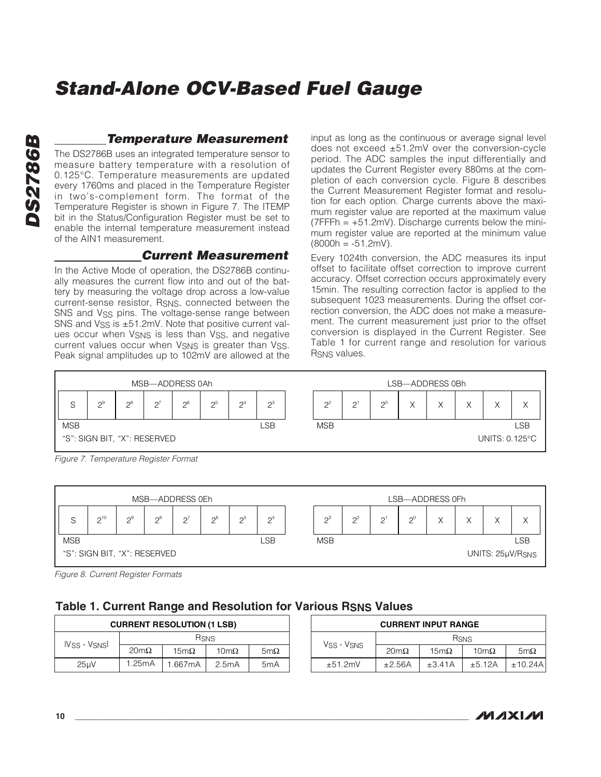# **DS2786B DS2786B**

#### **Temperature Measurement**

The DS2786B uses an integrated temperature sensor to measure battery temperature with a resolution of 0.125°C. Temperature measurements are updated every 1760ms and placed in the Temperature Register in two's-complement form. The format of the Temperature Register is shown in Figure 7. The ITEMP bit in the Status/Configuration Register must be set to enable the internal temperature measurement instead of the AIN1 measurement.

#### **Current Measurement**

In the Active Mode of operation, the DS2786B continually measures the current flow into and out of the battery by measuring the voltage drop across a low-value current-sense resistor, RSNS, connected between the SNS and V<sub>SS</sub> pins. The voltage-sense range between SNS and  $V$ <sub>SS</sub> is  $\pm$ 51.2mV. Note that positive current values occur when V<sub>SNS</sub> is less than V<sub>SS</sub>, and negative current values occur when VSNS is greater than VSS. Peak signal amplitudes up to 102mV are allowed at the

input as long as the continuous or average signal level does not exceed ±51.2mV over the conversion-cycle period. The ADC samples the input differentially and updates the Current Register every 880ms at the completion of each conversion cycle. Figure 8 describes the Current Measurement Register format and resolution for each option. Charge currents above the maximum register value are reported at the maximum value  $(7FFFh = +51.2mV)$ . Discharge currents below the minimum register value are reported at the minimum value  $(8000h = -51.2mV).$ 

Every 1024th conversion, the ADC measures its input offset to facilitate offset correction to improve current accuracy. Offset correction occurs approximately every 15min. The resulting correction factor is applied to the subsequent 1023 measurements. During the offset correction conversion, the ADC does not make a measurement. The current measurement just prior to the offset conversion is displayed in the Current Register. See Table 1 for current range and resolution for various R<sub>SNS</sub> values.



MSB—ADDRESS 0Eh LSB—ADDRESS 0Fh  $S \begin{array}{|c|c|c|c|c|} 2^{10} & 2^{9} \end{array}$  $2^{8}$  $2^7$  26 25  $2<sup>4</sup>$  $2^3$  $2^2$  $2^{1}$  $2^0$  $\vert$  X  $\vert$  X  $\vert$  X  $\vert$  X MSB LSB MSB LSB "S": SIGN BIT, "X": RESERVED UNITS: 25μV/RSNS

Figure 8. Current Register Formats

#### **Table 1. Current Range and Resolution for Various RSNS Values**

| <b>CURRENT RESOLUTION (1 LSB)</b> |                     |             |                     |                  |  |               | <b>CURREN</b> |
|-----------------------------------|---------------------|-------------|---------------------|------------------|--|---------------|---------------|
|                                   | <b>RSNS</b>         |             |                     |                  |  |               |               |
| <b>IVSS - VSNSI</b>               | $20 \text{m}\Omega$ | $15m\Omega$ | $10 \text{m}\Omega$ | $5m\Omega$       |  | Vss - Vsns    | $20m\Omega$   |
| 25uV                              | 1.25mA              | .667mA      | 2.5mA               | 5 <sub>m</sub> A |  | $\pm 51.2$ mV | ±2.56A        |

| <b>CURRENT INPUT RANGE</b> |             |             |                     |            |  |  |  |  |  |
|----------------------------|-------------|-------------|---------------------|------------|--|--|--|--|--|
|                            |             | <b>RSNS</b> |                     |            |  |  |  |  |  |
| Vss - Vsns                 | $20m\Omega$ | $15m\Omega$ | $10 \text{m}\Omega$ | $5m\Omega$ |  |  |  |  |  |
| ±51.2mV                    | ±2.56A      | ±3.41A      | ±5.12A              | ±10.24A    |  |  |  |  |  |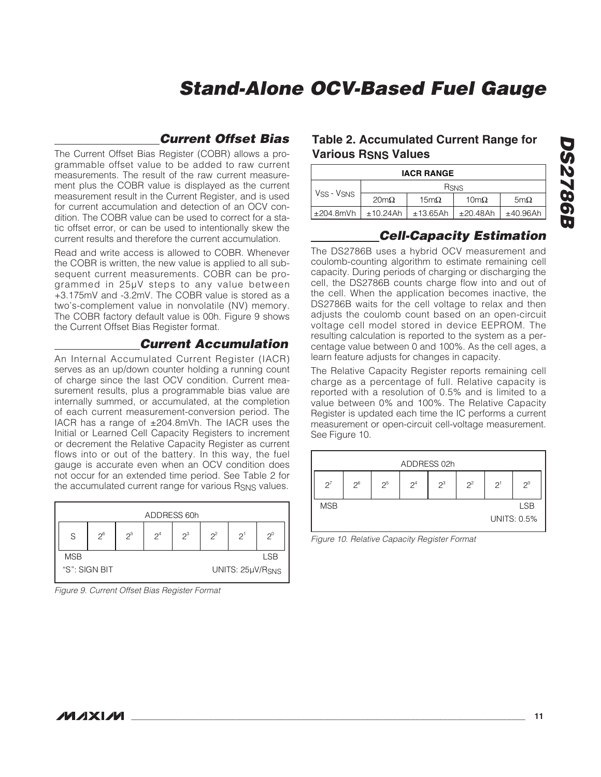#### **Current Offset Bias**

The Current Offset Bias Register (COBR) allows a programmable offset value to be added to raw current measurements. The result of the raw current measurement plus the COBR value is displayed as the current measurement result in the Current Register, and is used for current accumulation and detection of an OCV condition. The COBR value can be used to correct for a static offset error, or can be used to intentionally skew the current results and therefore the current accumulation.

Read and write access is allowed to COBR. Whenever the COBR is written, the new value is applied to all subsequent current measurements. COBR can be programmed in 25µV steps to any value between +3.175mV and -3.2mV. The COBR value is stored as a two's-complement value in nonvolatile (NV) memory. The COBR factory default value is 00h. Figure 9 shows the Current Offset Bias Register format.

#### **Current Accumulation**

An Internal Accumulated Current Register (IACR) serves as an up/down counter holding a running count of charge since the last OCV condition. Current measurement results, plus a programmable bias value are internally summed, or accumulated, at the completion of each current measurement-conversion period. The IACR has a range of  $\pm 204.8$ mVh. The IACR uses the Initial or Learned Cell Capacity Registers to increment or decrement the Relative Capacity Register as current flows into or out of the battery. In this way, the fuel gauge is accurate even when an OCV condition does not occur for an extended time period. See Table 2 for the accumulated current range for various RSNS values.

| ADDRESS 60h |               |       |       |       |       |                  |       |  |  |  |
|-------------|---------------|-------|-------|-------|-------|------------------|-------|--|--|--|
| S           | $2^6$         | $2^5$ | $2^4$ | $2^3$ | $2^2$ | 2 <sup>1</sup>   | $2^0$ |  |  |  |
| <b>MSB</b>  | <b>LSB</b>    |       |       |       |       |                  |       |  |  |  |
|             | "S": SIGN BIT |       |       |       |       | UNITS: 25µV/RSNS |       |  |  |  |

Figure 9. Current Offset Bias Register Format

#### **Table 2. Accumulated Current Range for Various RSNS Values**

| <b>IACR RANGE</b> |             |             |                     |            |  |  |  |  |
|-------------------|-------------|-------------|---------------------|------------|--|--|--|--|
|                   |             | <b>RSNS</b> |                     |            |  |  |  |  |
| Vss - Vsns        | $20m\Omega$ | $15m\Omega$ | $10 \text{m}\Omega$ | $5m\Omega$ |  |  |  |  |
| $\pm 204.8$ mVh   | ±10.24Ah    | ±13.65Ah    | ±20.48Ah            | ±40.96Ah   |  |  |  |  |

#### **Cell-Capacity Estimation**

The DS2786B uses a hybrid OCV measurement and coulomb-counting algorithm to estimate remaining cell capacity. During periods of charging or discharging the cell, the DS2786B counts charge flow into and out of the cell. When the application becomes inactive, the DS2786B waits for the cell voltage to relax and then adjusts the coulomb count based on an open-circuit voltage cell model stored in device EEPROM. The resulting calculation is reported to the system as a percentage value between 0 and 100%. As the cell ages, a learn feature adjusts for changes in capacity.

The Relative Capacity Register reports remaining cell charge as a percentage of full. Relative capacity is reported with a resolution of 0.5% and is limited to a value between 0% and 100%. The Relative Capacity Register is updated each time the IC performs a current measurement or open-circuit cell-voltage measurement. See Figure 10.

| ADDRESS 02h |       |       |       |       |       |       |                    |  |  |  |  |
|-------------|-------|-------|-------|-------|-------|-------|--------------------|--|--|--|--|
| $2^7$       | $2^6$ | $2^5$ | $2^4$ | $2^3$ | $2^2$ | $2^1$ | $2^0$              |  |  |  |  |
| <b>MSB</b>  |       |       |       |       |       |       | <b>LSB</b>         |  |  |  |  |
|             |       |       |       |       |       |       | <b>UNITS: 0.5%</b> |  |  |  |  |

Figure 10. Relative Capacity Register Format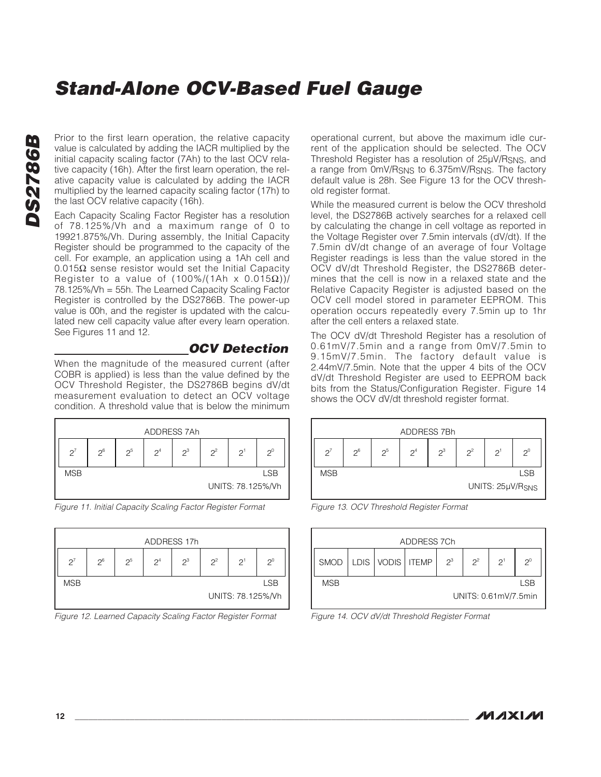**DS2786B DS2786B** 

Prior to the first learn operation, the relative capacity value is calculated by adding the IACR multiplied by the initial capacity scaling factor (7Ah) to the last OCV relative capacity (16h). After the first learn operation, the relative capacity value is calculated by adding the IACR multiplied by the learned capacity scaling factor (17h) to the last OCV relative capacity (16h).

Each Capacity Scaling Factor Register has a resolution of 78.125%/Vh and a maximum range of 0 to 19921.875%/Vh. During assembly, the Initial Capacity Register should be programmed to the capacity of the cell. For example, an application using a 1Ah cell and 0.015Ω sense resistor would set the Initial Capacity Register to a value of  $(100\%/1 \text{Ah} \times 0.015 \Omega))/$ 78.125%/Vh = 55h. The Learned Capacity Scaling Factor Register is controlled by the DS2786B. The power-up value is 00h, and the register is updated with the calculated new cell capacity value after every learn operation. See Figures 11 and 12.

#### **OCV Detection**

When the magnitude of the measured current (after COBR is applied) is less than the value defined by the OCV Threshold Register, the DS2786B begins dV/dt measurement evaluation to detect an OCV voltage condition. A threshold value that is below the minimum



Figure 11. Initial Capacity Scaling Factor Register Format



Figure 12. Learned Capacity Scaling Factor Register Format

operational current, but above the maximum idle current of the application should be selected. The OCV Threshold Register has a resolution of 25µV/RSNS, and a range from 0mV/RSNS to 6.375mV/RSNS. The factory default value is 28h. See Figure 13 for the OCV threshold register format.

While the measured current is below the OCV threshold level, the DS2786B actively searches for a relaxed cell by calculating the change in cell voltage as reported in the Voltage Register over 7.5min intervals (dV/dt). If the 7.5min dV/dt change of an average of four Voltage Register readings is less than the value stored in the OCV dV/dt Threshold Register, the DS2786B determines that the cell is now in a relaxed state and the Relative Capacity Register is adjusted based on the OCV cell model stored in parameter EEPROM. This operation occurs repeatedly every 7.5min up to 1hr after the cell enters a relaxed state.

The OCV dV/dt Threshold Register has a resolution of 0.61mV/7.5min and a range from 0mV/7.5min to 9.15mV/7.5min. The factory default value is 2.44mV/7.5min. Note that the upper 4 bits of the OCV dV/dt Threshold Register are used to EEPROM back bits from the Status/Configuration Register. Figure 14 shows the OCV dV/dt threshold register format.







Figure 14. OCV dV/dt Threshold Register Format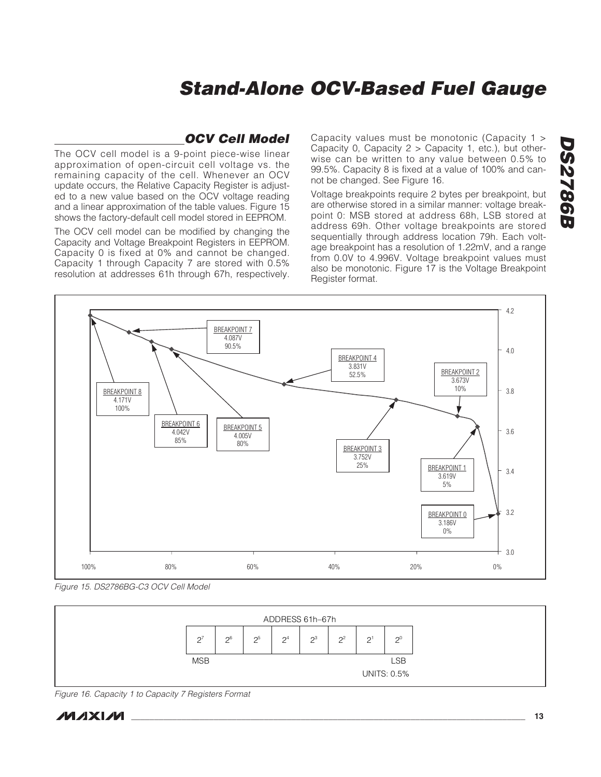#### **OCV Cell Model**

The OCV cell model is a 9-point piece-wise linear approximation of open-circuit cell voltage vs. the remaining capacity of the cell. Whenever an OCV update occurs, the Relative Capacity Register is adjusted to a new value based on the OCV voltage reading and a linear approximation of the table values. Figure 15 shows the factory-default cell model stored in EEPROM.

The OCV cell model can be modified by changing the Capacity and Voltage Breakpoint Registers in EEPROM. Capacity 0 is fixed at 0% and cannot be changed. Capacity 1 through Capacity 7 are stored with 0.5% resolution at addresses 61h through 67h, respectively.

Capacity values must be monotonic (Capacity 1 > Capacity 0, Capacity 2 > Capacity 1, etc.), but otherwise can be written to any value between 0.5% to 99.5%. Capacity 8 is fixed at a value of 100% and cannot be changed. See Figure 16.

Voltage breakpoints require 2 bytes per breakpoint, but are otherwise stored in a similar manner: voltage breakpoint 0: MSB stored at address 68h, LSB stored at address 69h. Other voltage breakpoints are stored sequentially through address location 79h. Each voltage breakpoint has a resolution of 1.22mV, and a range from 0.0V to 4.996V. Voltage breakpoint values must also be monotonic. Figure 17 is the Voltage Breakpoint Register format.



Figure 15. DS2786BG-C3 OCV Cell Model



Figure 16. Capacity 1 to Capacity 7 Registers Format

**DS2786B**

**DS2786B**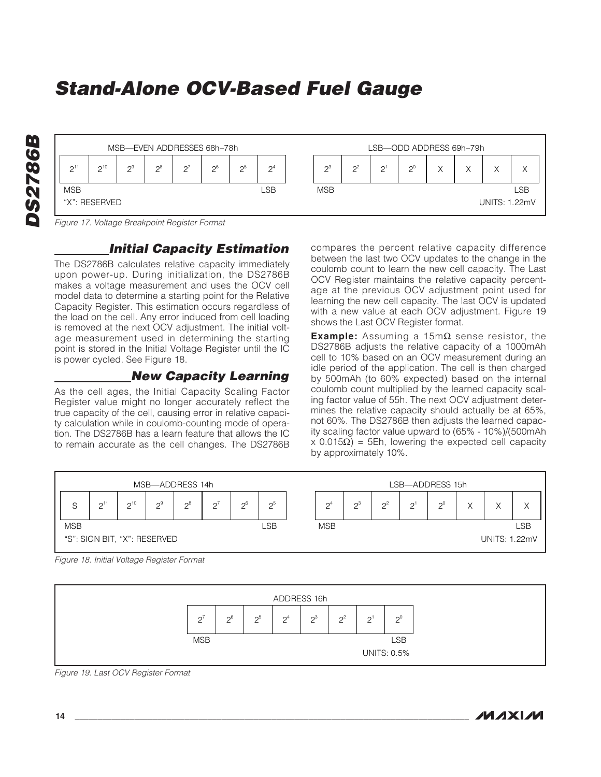| LSB                  |  |
|----------------------|--|
| <b>UNITS: 1.22mV</b> |  |
|                      |  |

Figure 17. Voltage Breakpoint Register Format

#### **Initial Capacity Estimation**

The DS2786B calculates relative capacity immediately upon power-up. During initialization, the DS2786B makes a voltage measurement and uses the OCV cell model data to determine a starting point for the Relative Capacity Register. This estimation occurs regardless of the load on the cell. Any error induced from cell loading is removed at the next OCV adjustment. The initial voltage measurement used in determining the starting point is stored in the Initial Voltage Register until the IC is power cycled. See Figure 18.

#### **New Capacity Learning**

As the cell ages, the Initial Capacity Scaling Factor Register value might no longer accurately reflect the true capacity of the cell, causing error in relative capacity calculation while in coulomb-counting mode of operation. The DS2786B has a learn feature that allows the IC to remain accurate as the cell changes. The DS2786B compares the percent relative capacity difference between the last two OCV updates to the change in the coulomb count to learn the new cell capacity. The Last OCV Register maintains the relative capacity percentage at the previous OCV adjustment point used for learning the new cell capacity. The last OCV is updated with a new value at each OCV adjustment. Figure 19 shows the Last OCV Register format.

**Example:** Assuming a 15mΩ sense resistor, the DS2786B adjusts the relative capacity of a 1000mAh cell to 10% based on an OCV measurement during an idle period of the application. The cell is then charged by 500mAh (to 60% expected) based on the internal coulomb count multiplied by the learned capacity scaling factor value of 55h. The next OCV adjustment determines the relative capacity should actually be at 65%, not 60%. The DS2786B then adjusts the learned capacity scaling factor value upward to (65% - 10%)/(500mAh x 0.015Ω) = 5Eh, lowering the expected cell capacity by approximately 10%.



Figure 18. Initial Voltage Register Format



Figure 19. Last OCV Register Format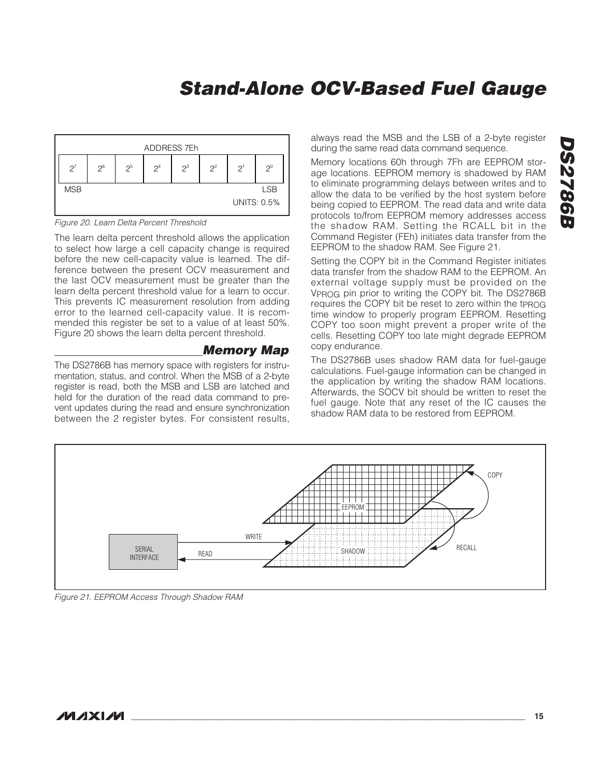

Figure 20. Learn Delta Percent Threshold

The learn delta percent threshold allows the application to select how large a cell capacity change is required before the new cell-capacity value is learned. The difference between the present OCV measurement and the last OCV measurement must be greater than the learn delta percent threshold value for a learn to occur. This prevents IC measurement resolution from adding error to the learned cell-capacity value. It is recommended this register be set to a value of at least 50%. Figure 20 shows the learn delta percent threshold.

#### **Memory Map**

The DS2786B has memory space with registers for instrumentation, status, and control. When the MSB of a 2-byte register is read, both the MSB and LSB are latched and held for the duration of the read data command to prevent updates during the read and ensure synchronization between the 2 register bytes. For consistent results, always read the MSB and the LSB of a 2-byte register during the same read data command sequence.

Memory locations 60h through 7Fh are EEPROM storage locations. EEPROM memory is shadowed by RAM to eliminate programming delays between writes and to allow the data to be verified by the host system before being copied to EEPROM. The read data and write data protocols to/from EEPROM memory addresses access the shadow RAM. Setting the RCALL bit in the Command Register (FEh) initiates data transfer from the EEPROM to the shadow RAM. See Figure 21.

Setting the COPY bit in the Command Register initiates data transfer from the shadow RAM to the EEPROM. An external voltage supply must be provided on the VPROG pin prior to writing the COPY bit. The DS2786B requires the COPY bit be reset to zero within the tprog time window to properly program EEPROM. Resetting COPY too soon might prevent a proper write of the cells. Resetting COPY too late might degrade EEPROM copy endurance.

The DS2786B uses shadow RAM data for fuel-gauge calculations. Fuel-gauge information can be changed in the application by writing the shadow RAM locations. Afterwards, the SOCV bit should be written to reset the fuel gauge. Note that any reset of the IC causes the shadow RAM data to be restored from EEPROM.



Figure 21. EEPROM Access Through Shadow RAM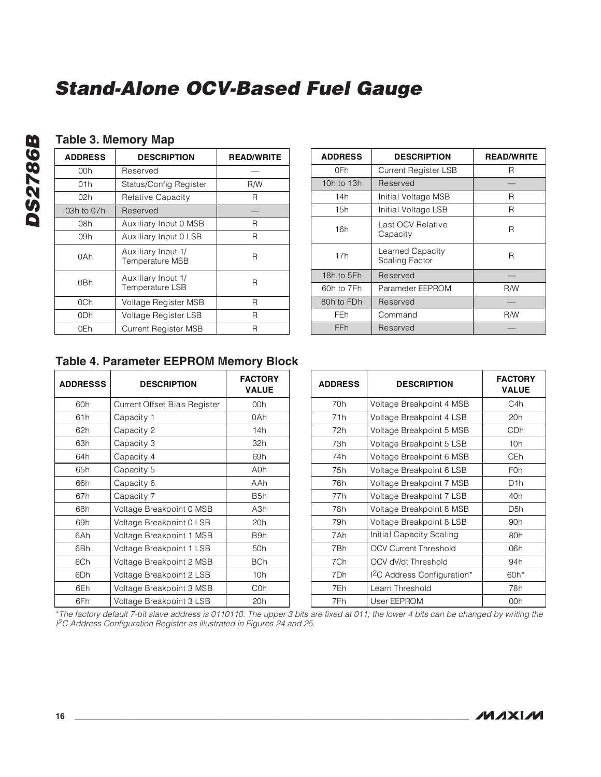#### **Table 3. Memory Map**

| <b>ADDRESS</b> | <b>DESCRIPTION</b>                           | <b>READ/WRITE</b> |
|----------------|----------------------------------------------|-------------------|
| 00h            | Reserved                                     |                   |
| 01h            | Status/Config Register                       | R/W               |
| 02h            | Relative Capacity                            | R                 |
| 03h to 07h     | Reserved                                     |                   |
| 08h            | Auxiliary Input 0 MSB                        | R                 |
| 09h            | Auxiliary Input 0 LSB                        | R                 |
| 0Ah            | Auxiliary Input 1/<br><b>Temperature MSB</b> | R                 |
| 0Bh            | Auxiliary Input 1/<br>Temperature LSB        | R                 |
| 0Ch            | Voltage Register MSB                         | R                 |
| 0Dh            | Voltage Register LSB                         | R                 |
| 0Eh            | <b>Current Register MSB</b>                  | R                 |

| <b>ADDRESS</b> | <b>DESCRIPTION</b>                        | <b>READ/WRITE</b> |
|----------------|-------------------------------------------|-------------------|
| 0Fh            | Current Register LSB                      | R                 |
| 10h to 13h     | Reserved                                  |                   |
| 14h            | Initial Voltage MSB                       | R                 |
| 15h            | Initial Voltage LSB                       | R                 |
| 16h            | Last OCV Relative<br>Capacity             | R                 |
| 17h            | Learned Capacity<br><b>Scaling Factor</b> | R                 |
| 18h to 5Fh     | Reserved                                  |                   |
| 60h to 7Fh     | Parameter EEPROM                          | R/W               |
| 80h to FDh     | Reserved                                  |                   |
| FEh            | Command                                   | <b>R/W</b>        |
| FFh            | Reserved                                  |                   |

#### **Table 4. Parameter EEPROM Memory Block**

| <b>ADDRESSS</b> | <b>DESCRIPTION</b>           | <b>FACTORY</b><br><b>VALUE</b> | <b>ADDRESS</b> | <b>DESCRIPTION</b>                    | <b>FACTORY</b><br><b>VALUE</b> |
|-----------------|------------------------------|--------------------------------|----------------|---------------------------------------|--------------------------------|
| 60h             | Current Offset Bias Register | 00h                            | 70h            | Voltage Breakpoint 4 MSB              | C <sub>4</sub> h               |
| 61h             | Capacity 1                   | 0Ah                            | 71h            | Voltage Breakpoint 4 LSB              | 20h                            |
| 62h             | Capacity 2                   | 14h                            | 72h            | Voltage Breakpoint 5 MSB              | CD <sub>h</sub>                |
| 63h             | Capacity 3                   | 32h                            | 73h            | Voltage Breakpoint 5 LSB              | 10h                            |
| 64h             | Capacity 4                   | 69h                            | 74h            | Voltage Breakpoint 6 MSB              | CE <sub>h</sub>                |
| 65h             | Capacity 5                   | A0h                            | 75h            | Voltage Breakpoint 6 LSB              | F <sub>0</sub> h               |
| 66h             | Capacity 6                   | AAh                            | 76h            | Voltage Breakpoint 7 MSB              | D <sub>1</sub> h               |
| 67h             | Capacity 7                   | B <sub>5</sub> h               | 77h            | Voltage Breakpoint 7 LSB              | 40h                            |
| 68h             | Voltage Breakpoint 0 MSB     | A3h                            | 78h            | Voltage Breakpoint 8 MSB              | D <sub>5</sub> h               |
| 69h             | Voltage Breakpoint 0 LSB     | 20 <sub>h</sub>                | 79h            | Voltage Breakpoint 8 LSB              | 90 <sub>h</sub>                |
| 6Ah             | Voltage Breakpoint 1 MSB     | B9h                            | 7Ah            | Initial Capacity Scaling              | 80h                            |
| 6Bh             | Voltage Breakpoint 1 LSB     | 50 <sub>h</sub>                | 7Bh            | <b>OCV Current Threshold</b>          | 06h                            |
| 6Ch             | Voltage Breakpoint 2 MSB     | <b>BCh</b>                     | 7Ch            | OCV dV/dt Threshold                   | 94h                            |
| 6Dh             | Voltage Breakpoint 2 LSB     | 10h                            | 7Dh            | <sup>2</sup> C Address Configuration* | 60h*                           |
| 6Eh             | Voltage Breakpoint 3 MSB     | C <sub>O</sub> h               | 7Eh            | Learn Threshold                       | 78h                            |
| 6Fh             | Voltage Breakpoint 3 LSB     | 20h                            | 7Fh            | User EEPROM                           | 00h                            |

\*The factory default 7-bit slave address is 0110110. The upper 3 bits are fixed at 011; the lower 4 bits can be changed by writing the I <sup>2</sup>C Address Configuration Register as illustrated in Figures 24 and 25.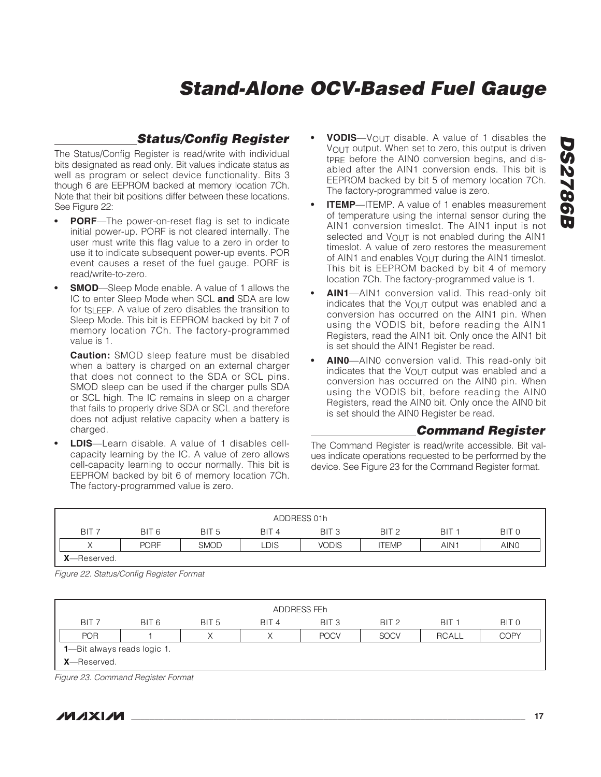#### **Status/Config Register**

The Status/Config Register is read/write with individual bits designated as read only. Bit values indicate status as well as program or select device functionality. Bits 3 though 6 are EEPROM backed at memory location 7Ch. Note that their bit positions differ between these locations. See Figure 22:

- **PORF**—The power-on-reset flag is set to indicate initial power-up. PORF is not cleared internally. The user must write this flag value to a zero in order to use it to indicate subsequent power-up events. POR event causes a reset of the fuel gauge. PORF is read/write-to-zero.
- **SMOD**—Sleep Mode enable. A value of 1 allows the IC to enter Sleep Mode when SCL **and** SDA are low for t<sub>SLEEP</sub>. A value of zero disables the transition to Sleep Mode. This bit is EEPROM backed by bit 7 of memory location 7Ch. The factory-programmed value is 1.

**Caution:** SMOD sleep feature must be disabled when a battery is charged on an external charger that does not connect to the SDA or SCL pins. SMOD sleep can be used if the charger pulls SDA or SCL high. The IC remains in sleep on a charger that fails to properly drive SDA or SCL and therefore does not adjust relative capacity when a battery is charged.

**• LDIS**—Learn disable. A value of 1 disables cellcapacity learning by the IC. A value of zero allows cell-capacity learning to occur normally. This bit is EEPROM backed by bit 6 of memory location 7Ch. The factory-programmed value is zero.

- **VODIS**—V<sub>OUT</sub> disable. A value of 1 disables the VOUT output. When set to zero, this output is driven t<sub>PRE</sub> before the AIN0 conversion begins, and disabled after the AIN1 conversion ends. This bit is EEPROM backed by bit 5 of memory location 7Ch. The factory-programmed value is zero.
- **ITEMP**—ITEMP. A value of 1 enables measurement of temperature using the internal sensor during the AIN1 conversion timeslot. The AIN1 input is not selected and  $V_{\text{OUT}}$  is not enabled during the AIN1 timeslot. A value of zero restores the measurement of AIN1 and enables  $V_{\text{OUT}}$  during the AIN1 timeslot. This bit is EEPROM backed by bit 4 of memory location 7Ch. The factory-programmed value is 1.
- **AIN1**—AIN1 conversion valid. This read-only bit indicates that the VOUT output was enabled and a conversion has occurred on the AIN1 pin. When using the VODIS bit, before reading the AIN1 Registers, read the AIN1 bit. Only once the AIN1 bit is set should the AIN1 Register be read.
- **AIN0**—AIN0 conversion valid. This read-only bit indicates that the VOUT output was enabled and a conversion has occurred on the AIN0 pin. When using the VODIS bit, before reading the AIN0 Registers, read the AIN0 bit. Only once the AIN0 bit is set should the AIN0 Register be read.

**Command Register**

The Command Register is read/write accessible. Bit values indicate operations requested to be performed by the device. See Figure 23 for the Command Register format.

| ADDRESS 01h         |             |                  |                  |                  |                  |                  |                  |
|---------------------|-------------|------------------|------------------|------------------|------------------|------------------|------------------|
| BIT <sub>7</sub>    | BIT 6       | BIT <sub>5</sub> | BIT <sub>4</sub> | BIT <sub>3</sub> | BIT <sub>2</sub> | BIT <sub>1</sub> | BIT <sub>0</sub> |
| $\checkmark$        | <b>PORF</b> | <b>SMOD</b>      | _DIS             | <b>VODIS</b>     | <b>ITEMP</b>     | AIN <sub>1</sub> | AIN <sub>0</sub> |
| <b>X</b> —Reserved. |             |                  |                  |                  |                  |                  |                  |

Figure 22. Status/Config Register Format

| ADDRESS FEh                       |                                     |                  |                  |                  |                  |                  |             |
|-----------------------------------|-------------------------------------|------------------|------------------|------------------|------------------|------------------|-------------|
| BIT <sub>7</sub>                  | BIT 6                               | BIT <sub>5</sub> | BIT <sub>4</sub> | BIT <sub>3</sub> | BIT <sub>2</sub> | BIT <sub>1</sub> | BIT 0       |
| <b>POR</b>                        |                                     |                  |                  | <b>POCV</b>      | <b>SOCV</b>      | <b>RCALL</b>     | <b>COPY</b> |
|                                   | <b>1</b> —Bit always reads logic 1. |                  |                  |                  |                  |                  |             |
| <b>X</b> —Reserved.               |                                     |                  |                  |                  |                  |                  |             |
| Figure 00 Company Demister Formet |                                     |                  |                  |                  |                  |                  |             |

Figure 23. Command Register Format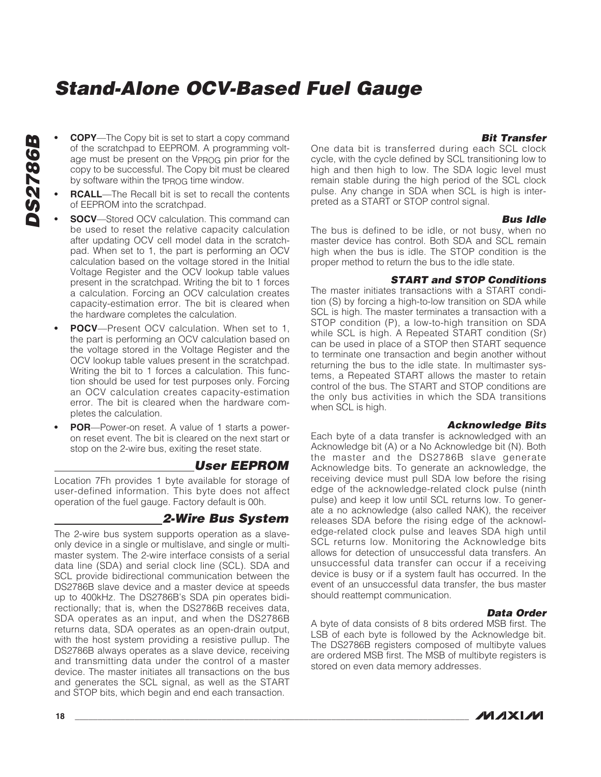- **COPY**—The Copy bit is set to start a copy command of the scratchpad to EEPROM. A programming voltage must be present on the VPROG pin prior for the copy to be successful. The Copy bit must be cleared by software within the tprog time window.
- **RCALL**—The Recall bit is set to recall the contents of EEPROM into the scratchpad.
	- *SOCV—Stored OCV calculation. This command can* be used to reset the relative capacity calculation after updating OCV cell model data in the scratchpad. When set to 1, the part is performing an OCV calculation based on the voltage stored in the Initial Voltage Register and the OCV lookup table values present in the scratchpad. Writing the bit to 1 forces a calculation. Forcing an OCV calculation creates capacity-estimation error. The bit is cleared when the hardware completes the calculation.
	- **POCV**—Present OCV calculation. When set to 1, the part is performing an OCV calculation based on the voltage stored in the Voltage Register and the OCV lookup table values present in the scratchpad. Writing the bit to 1 forces a calculation. This function should be used for test purposes only. Forcing an OCV calculation creates capacity-estimation error. The bit is cleared when the hardware completes the calculation.
	- **POR**—Power-on reset. A value of 1 starts a poweron reset event. The bit is cleared on the next start or stop on the 2-wire bus, exiting the reset state.

#### **User EEPROM**

Location 7Fh provides 1 byte available for storage of user-defined information. This byte does not affect operation of the fuel gauge. Factory default is 00h.

#### **2-Wire Bus System**

The 2-wire bus system supports operation as a slaveonly device in a single or multislave, and single or multimaster system. The 2-wire interface consists of a serial data line (SDA) and serial clock line (SCL). SDA and SCL provide bidirectional communication between the DS2786B slave device and a master device at speeds up to 400kHz. The DS2786B's SDA pin operates bidirectionally; that is, when the DS2786B receives data, SDA operates as an input, and when the DS2786B returns data, SDA operates as an open-drain output, with the host system providing a resistive pullup. The DS2786B always operates as a slave device, receiving and transmitting data under the control of a master device. The master initiates all transactions on the bus and generates the SCL signal, as well as the START and STOP bits, which begin and end each transaction.

#### **Bit Transfer**

One data bit is transferred during each SCL clock cycle, with the cycle defined by SCL transitioning low to high and then high to low. The SDA logic level must remain stable during the high period of the SCL clock pulse. Any change in SDA when SCL is high is interpreted as a START or STOP control signal.

#### **Bus Idle**

The bus is defined to be idle, or not busy, when no master device has control. Both SDA and SCL remain high when the bus is idle. The STOP condition is the proper method to return the bus to the idle state.

#### **START and STOP Conditions**

The master initiates transactions with a START condition (S) by forcing a high-to-low transition on SDA while SCL is high. The master terminates a transaction with a STOP condition (P), a low-to-high transition on SDA while SCL is high. A Repeated START condition (Sr) can be used in place of a STOP then START sequence to terminate one transaction and begin another without returning the bus to the idle state. In multimaster systems, a Repeated START allows the master to retain control of the bus. The START and STOP conditions are the only bus activities in which the SDA transitions when SCL is high.

#### **Acknowledge Bits**

Each byte of a data transfer is acknowledged with an Acknowledge bit (A) or a No Acknowledge bit (N). Both the master and the DS2786B slave generate Acknowledge bits. To generate an acknowledge, the receiving device must pull SDA low before the rising edge of the acknowledge-related clock pulse (ninth pulse) and keep it low until SCL returns low. To generate a no acknowledge (also called NAK), the receiver releases SDA before the rising edge of the acknowledge-related clock pulse and leaves SDA high until SCL returns low. Monitoring the Acknowledge bits allows for detection of unsuccessful data transfers. An unsuccessful data transfer can occur if a receiving device is busy or if a system fault has occurred. In the event of an unsuccessful data transfer, the bus master should reattempt communication.

#### **Data Order**

A byte of data consists of 8 bits ordered MSB first. The LSB of each byte is followed by the Acknowledge bit. The DS2786B registers composed of multibyte values are ordered MSB first. The MSB of multibyte registers is stored on even data memory addresses.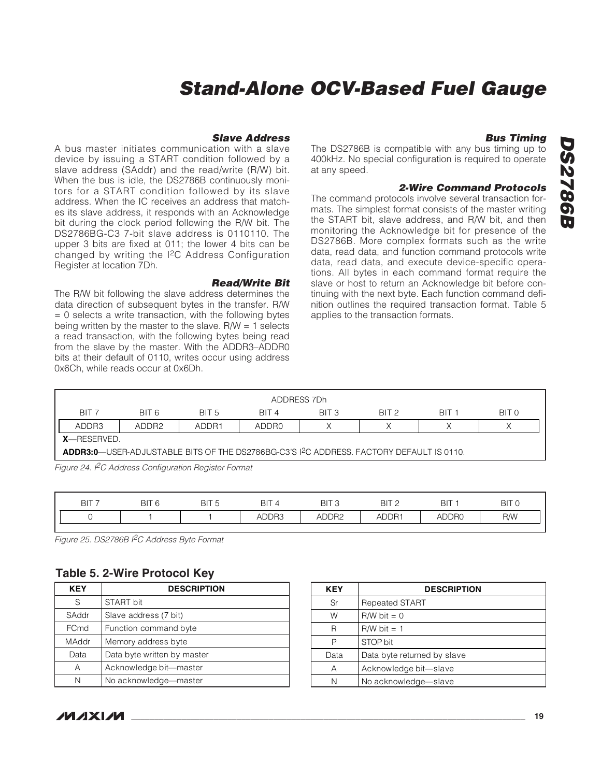#### **Slave Address**

A bus master initiates communication with a slave device by issuing a START condition followed by a slave address (SAddr) and the read/write (R/W) bit. When the bus is idle, the DS2786B continuously monitors for a START condition followed by its slave address. When the IC receives an address that matches its slave address, it responds with an Acknowledge bit during the clock period following the R/W bit. The DS2786BG-C3 7-bit slave address is 0110110. The upper 3 bits are fixed at 011; the lower 4 bits can be changed by writing the I2C Address Configuration Register at location 7Dh.

#### **Read/Write Bit**

The R/W bit following the slave address determines the data direction of subsequent bytes in the transfer. R/W  $= 0$  selects a write transaction, with the following bytes being written by the master to the slave.  $R/W = 1$  selects a read transaction, with the following bytes being read from the slave by the master. With the ADDR3–ADDR0 bits at their default of 0110, writes occur using address 0x6Ch, while reads occur at 0x6Dh.

#### The DS2786B is compatible with any bus timing up to 400kHz. No special configuration is required to operate at any speed.

#### **2-Wire Command Protocols**

**Bus Timing**

The command protocols involve several transaction formats. The simplest format consists of the master writing the START bit, slave address, and R/W bit, and then monitoring the Acknowledge bit for presence of the DS2786B. More complex formats such as the write data, read data, and function command protocols write data, read data, and execute device-specific operations. All bytes in each command format require the slave or host to return an Acknowledge bit before continuing with the next byte. Each function command definition outlines the required transaction format. Table 5 applies to the transaction formats.

|                  |                                                                                                      |                  |                  | ADDRESS 7Dh      |                  |                  |       |  |
|------------------|------------------------------------------------------------------------------------------------------|------------------|------------------|------------------|------------------|------------------|-------|--|
| BIT <sub>7</sub> | BIT 6                                                                                                | RIT <sub>5</sub> | RIT <sub>4</sub> | BIT <sub>3</sub> | BIT <sub>2</sub> | RIT <sub>1</sub> | BIT 0 |  |
| ADDR3            | ADDR <sub>2</sub>                                                                                    | ADDR1            | ADDR0            |                  |                  |                  |       |  |
|                  | $X$ —RESERVED.                                                                                       |                  |                  |                  |                  |                  |       |  |
|                  | ADDR3:0-USER-ADJUSTABLE BITS OF THE DS2786BG-C3'S I <sup>2</sup> C ADDRESS. FACTORY DEFAULT IS 0110. |                  |                  |                  |                  |                  |       |  |

Figure 24. I<sup>2</sup>C Address Configuration Register Format

| <b>BIT</b> | <b>BIT</b><br>C | BIT <sub>5</sub> | <b>BIT</b> | <b>BIT</b><br>◡   | <b>BIT</b><br>$\sim$ | $BI^{\tau}$ | <b>BIT</b> |
|------------|-----------------|------------------|------------|-------------------|----------------------|-------------|------------|
|            |                 |                  | ADDR3      | ADDR <sub>2</sub> | ADDR <sup>+</sup>    | ADDR0<br>ΔI | R/W        |

Figure 25. DS2786B I<sup>2</sup>C Address Byte Format

#### **Table 5. 2-Wire Protocol Key**

| KEY          | <b>DESCRIPTION</b>          |  |  |
|--------------|-----------------------------|--|--|
| S            | START bit                   |  |  |
| SAddr        | Slave address (7 bit)       |  |  |
| <b>FCmd</b>  | Function command byte       |  |  |
| <b>MAddr</b> | Memory address byte         |  |  |
| Data         | Data byte written by master |  |  |
| Α            | Acknowledge bit-master      |  |  |
| N            | No acknowledge-master       |  |  |

| <b>KEY</b> | <b>DESCRIPTION</b>          |  |  |
|------------|-----------------------------|--|--|
| Sr         | <b>Repeated START</b>       |  |  |
| W          | $R/W$ bit = 0               |  |  |
| R          | $R/W$ bit = 1               |  |  |
| Р          | STOP bit                    |  |  |
| Data       | Data byte returned by slave |  |  |
| Α          | Acknowledge bit-slave       |  |  |
| N          | No acknowledge-slave        |  |  |

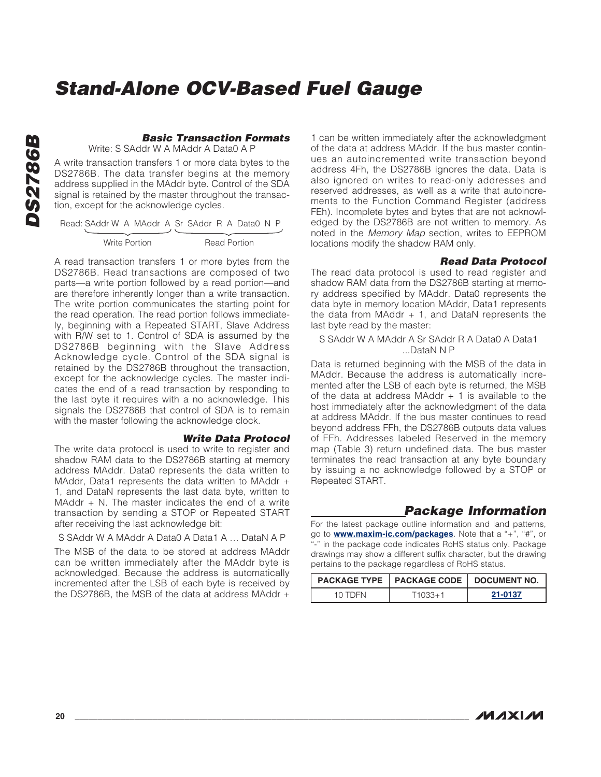#### **Basic Transaction Formats**

Write: S SAddr W A MAddr A Data0 A P

A write transaction transfers 1 or more data bytes to the DS2786B. The data transfer begins at the memory address supplied in the MAddr byte. Control of the SDA signal is retained by the master throughout the transaction, except for the acknowledge cycles.

| Read: SAddr W A MAddr A Sr SAddr R A Data0 N P |                     |  |
|------------------------------------------------|---------------------|--|
|                                                |                     |  |
| Write Portion                                  | <b>Read Portion</b> |  |

A read transaction transfers 1 or more bytes from the DS2786B. Read transactions are composed of two parts—a write portion followed by a read portion—and are therefore inherently longer than a write transaction. The write portion communicates the starting point for the read operation. The read portion follows immediately, beginning with a Repeated START, Slave Address with R/W set to 1. Control of SDA is assumed by the DS2786B beginning with the Slave Address Acknowledge cycle. Control of the SDA signal is retained by the DS2786B throughout the transaction, except for the acknowledge cycles. The master indicates the end of a read transaction by responding to the last byte it requires with a no acknowledge. This signals the DS2786B that control of SDA is to remain with the master following the acknowledge clock.

#### **Write Data Protocol**

The write data protocol is used to write to register and shadow RAM data to the DS2786B starting at memory address MAddr. Data0 represents the data written to MAddr, Data1 represents the data written to MAddr + 1, and DataN represents the last data byte, written to MAddr  $+$  N. The master indicates the end of a write transaction by sending a STOP or Repeated START after receiving the last acknowledge bit:

S SAddr W A MAddr A Data0 A Data1 A … DataN A P

The MSB of the data to be stored at address MAddr can be written immediately after the MAddr byte is acknowledged. Because the address is automatically incremented after the LSB of each byte is received by the DS2786B, the MSB of the data at address MAddr +

1 can be written immediately after the acknowledgment of the data at address MAddr. If the bus master continues an autoincremented write transaction beyond address 4Fh, the DS2786B ignores the data. Data is also ignored on writes to read-only addresses and reserved addresses, as well as a write that autoincrements to the Function Command Register (address FEh). Incomplete bytes and bytes that are not acknowledged by the DS2786B are not written to memory. As noted in the Memory Map section, writes to EEPROM locations modify the shadow RAM only.

#### **Read Data Protocol**

The read data protocol is used to read register and shadow RAM data from the DS2786B starting at memory address specified by MAddr. Data0 represents the data byte in memory location MAddr, Data1 represents the data from MAddr + 1, and DataN represents the last byte read by the master:

#### S SAddr W A MAddr A Sr SAddr R A Data0 A Data1 ...DataN N P

Data is returned beginning with the MSB of the data in MAddr. Because the address is automatically incremented after the LSB of each byte is returned, the MSB of the data at address MAddr  $+$  1 is available to the host immediately after the acknowledgment of the data at address MAddr. If the bus master continues to read beyond address FFh, the DS2786B outputs data values of FFh. Addresses labeled Reserved in the memory map (Table 3) return undefined data. The bus master terminates the read transaction at any byte boundary by issuing a no acknowledge followed by a STOP or Repeated START.

#### **Package Information**

For the latest package outline information and land patterns. go to **www.maxim-ic.com/packages**. Note that a "+", "#", or "-" in the package code indicates RoHS status only. Package drawings may show a different suffix character, but the drawing pertains to the package regardless of RoHS status.

|           | <b>PACKAGE TYPE   PACKAGE CODE   DOCUMENT NO.</b> |         |
|-----------|---------------------------------------------------|---------|
| 10. IDEN. | $11033 + 1$                                       | 21-0137 |

**DS2786B**

**DS2786B**